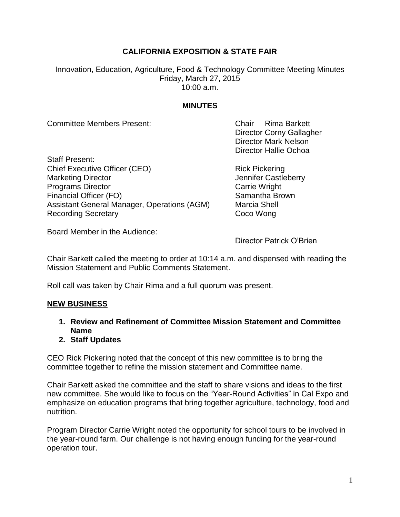## **CALIFORNIA EXPOSITION & STATE FAIR**

Innovation, Education, Agriculture, Food & Technology Committee Meeting Minutes Friday, March 27, 2015 10:00 a.m.

## **MINUTES**

Committee Members Present: Chair Rima Barkett

Director Corny Gallagher Director Mark Nelson Director Hallie Ochoa

Staff Present: Chief Executive Officer (CEO) Rick Pickering Marketing Director **Marketing Director** Marketing Director **Jennifer Castleberry Programs Director** Carrie Wright Financial Officer (FO) Samantha Brown Assistant General Manager, Operations (AGM) Marcia Shell Recording Secretary **Coco Wong** 

Board Member in the Audience:

Director Patrick O'Brien

Chair Barkett called the meeting to order at 10:14 a.m. and dispensed with reading the Mission Statement and Public Comments Statement.

Roll call was taken by Chair Rima and a full quorum was present.

## **NEW BUSINESS**

- **1. Review and Refinement of Committee Mission Statement and Committee Name**
- **2. Staff Updates**

CEO Rick Pickering noted that the concept of this new committee is to bring the committee together to refine the mission statement and Committee name.

Chair Barkett asked the committee and the staff to share visions and ideas to the first new committee. She would like to focus on the "Year-Round Activities" in Cal Expo and emphasize on education programs that bring together agriculture, technology, food and nutrition.

Program Director Carrie Wright noted the opportunity for school tours to be involved in the year-round farm. Our challenge is not having enough funding for the year-round operation tour.